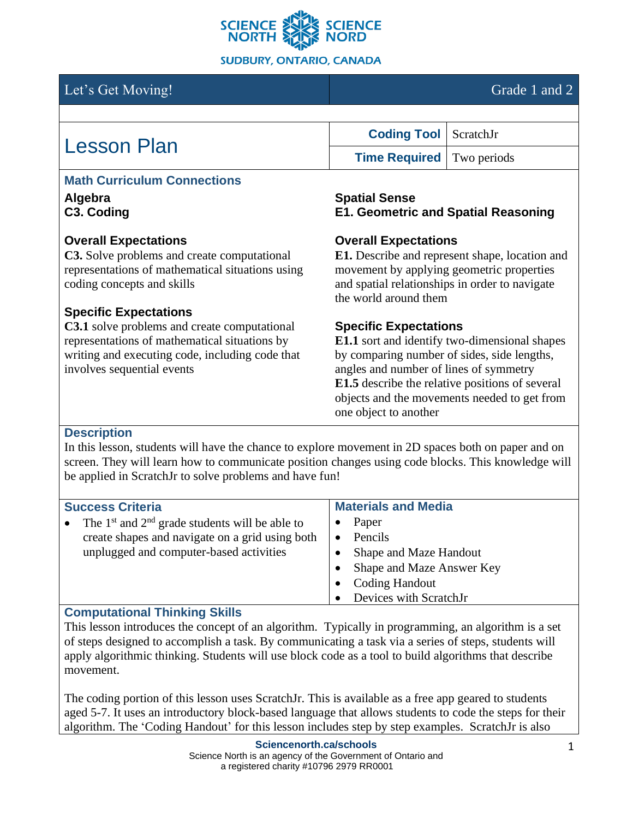

# Let's Get Moving! Grade 1 and 2

| <b>Lesson Plan</b> | <b>Coding Tool</b> ScratchJr     |  |
|--------------------|----------------------------------|--|
|                    | <b>Time Required</b> Two periods |  |

## **Math Curriculum Connections**

**Algebra C3. Coding**

## **Overall Expectations**

**C3.** Solve problems and create computational representations of mathematical situations using coding concepts and skills

## **Specific Expectations**

**C3.1** solve problems and create computational representations of mathematical situations by writing and executing code, including code that involves sequential events

#### **Spatial Sense E1. Geometric and Spatial Reasoning**

## **Overall Expectations**

**E1.** Describe and represent shape, location and movement by applying geometric properties and spatial relationships in order to navigate the world around them

## **Specific Expectations**

**E1.1** sort and identify two-dimensional shapes by comparing number of sides, side lengths, angles and number of lines of symmetry **E1.5** describe the relative positions of several objects and the movements needed to get from one object to another

## **Description**

In this lesson, students will have the chance to explore movement in 2D spaces both on paper and on screen. They will learn how to communicate position changes using code blocks. This knowledge will be applied in ScratchJr to solve problems and have fun!

| <b>Success Criteria</b>                                                                                                                          | <b>Materials and Media</b>                                                                                                 |  |
|--------------------------------------------------------------------------------------------------------------------------------------------------|----------------------------------------------------------------------------------------------------------------------------|--|
| The $1st$ and $2nd$ grade students will be able to<br>create shapes and navigate on a grid using both<br>unplugged and computer-based activities | Paper<br>Pencils<br>Shape and Maze Handout<br>Shape and Maze Answer Key<br><b>Coding Handout</b><br>Devices with ScratchJr |  |

## **Computational Thinking Skills**

This lesson introduces the concept of an algorithm. Typically in programming, an algorithm is a set of steps designed to accomplish a task. By communicating a task via a series of steps, students will apply algorithmic thinking. Students will use block code as a tool to build algorithms that describe movement.

The coding portion of this lesson uses ScratchJr. This is available as a free app geared to students aged 5-7. It uses an introductory block-based language that allows students to code the steps for their algorithm. The 'Coding Handout' for this lesson includes step by step examples. ScratchJr is also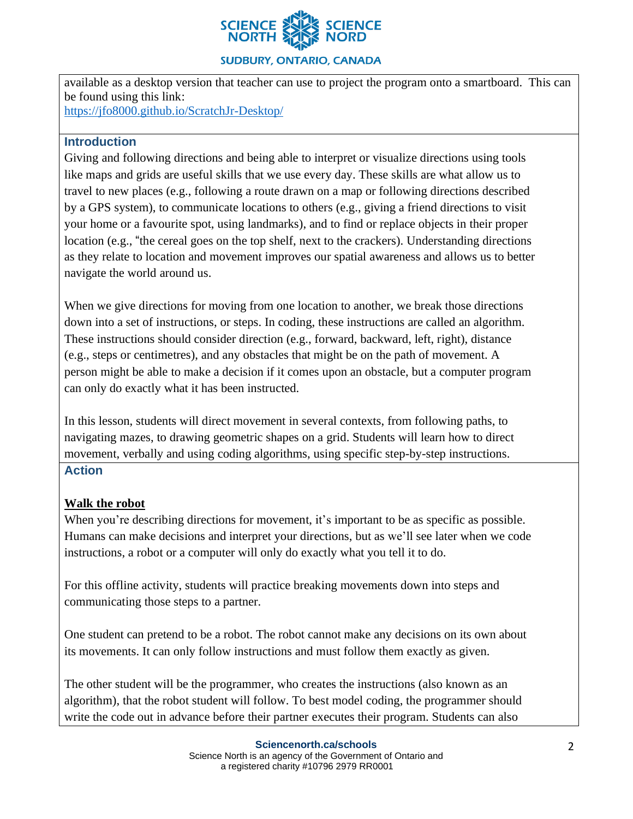

#### **SUDBURY, ONTARIO, CANADA**

available as a desktop version that teacher can use to project the program onto a smartboard. This can be found using this link:

<https://jfo8000.github.io/ScratchJr-Desktop/>

## **Introduction**

Giving and following directions and being able to interpret or visualize directions using tools like maps and grids are useful skills that we use every day. These skills are what allow us to travel to new places (e.g., following a route drawn on a map or following directions described by a GPS system), to communicate locations to others (e.g., giving a friend directions to visit your home or a favourite spot, using landmarks), and to find or replace objects in their proper location (e.g., "the cereal goes on the top shelf, next to the crackers). Understanding directions as they relate to location and movement improves our spatial awareness and allows us to better navigate the world around us.

When we give directions for moving from one location to another, we break those directions down into a set of instructions, or steps. In coding, these instructions are called an algorithm. These instructions should consider direction (e.g., forward, backward, left, right), distance (e.g., steps or centimetres), and any obstacles that might be on the path of movement. A person might be able to make a decision if it comes upon an obstacle, but a computer program can only do exactly what it has been instructed.

In this lesson, students will direct movement in several contexts, from following paths, to navigating mazes, to drawing geometric shapes on a grid. Students will learn how to direct movement, verbally and using coding algorithms, using specific step-by-step instructions.

## **Action**

## **Walk the robot**

When you're describing directions for movement, it's important to be as specific as possible. Humans can make decisions and interpret your directions, but as we'll see later when we code instructions, a robot or a computer will only do exactly what you tell it to do.

For this offline activity, students will practice breaking movements down into steps and communicating those steps to a partner.

One student can pretend to be a robot. The robot cannot make any decisions on its own about its movements. It can only follow instructions and must follow them exactly as given.

The other student will be the programmer, who creates the instructions (also known as an algorithm), that the robot student will follow. To best model coding, the programmer should write the code out in advance before their partner executes their program. Students can also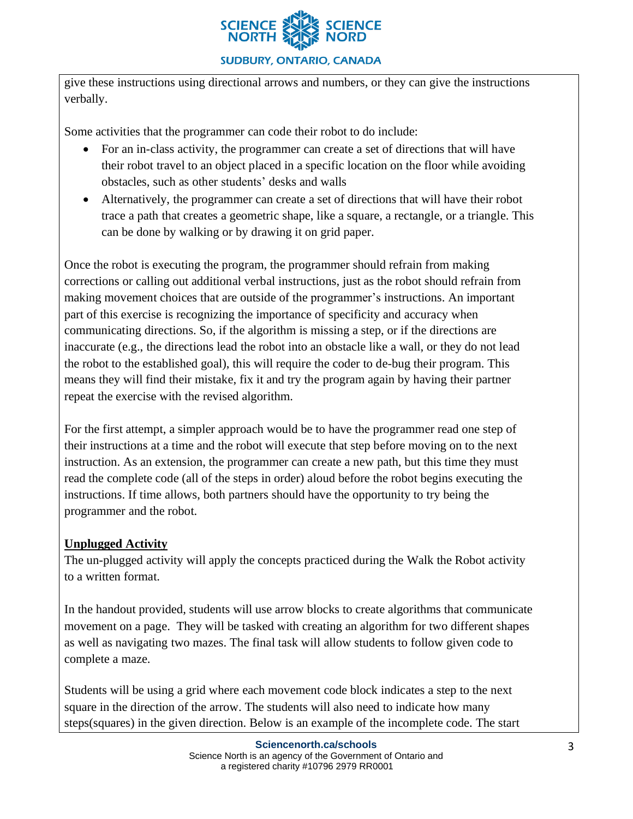

give these instructions using directional arrows and numbers, or they can give the instructions verbally.

Some activities that the programmer can code their robot to do include:

- For an in-class activity, the programmer can create a set of directions that will have their robot travel to an object placed in a specific location on the floor while avoiding obstacles, such as other students' desks and walls
- Alternatively, the programmer can create a set of directions that will have their robot trace a path that creates a geometric shape, like a square, a rectangle, or a triangle. This can be done by walking or by drawing it on grid paper.

Once the robot is executing the program, the programmer should refrain from making corrections or calling out additional verbal instructions, just as the robot should refrain from making movement choices that are outside of the programmer's instructions. An important part of this exercise is recognizing the importance of specificity and accuracy when communicating directions. So, if the algorithm is missing a step, or if the directions are inaccurate (e.g., the directions lead the robot into an obstacle like a wall, or they do not lead the robot to the established goal), this will require the coder to de-bug their program. This means they will find their mistake, fix it and try the program again by having their partner repeat the exercise with the revised algorithm.

For the first attempt, a simpler approach would be to have the programmer read one step of their instructions at a time and the robot will execute that step before moving on to the next instruction. As an extension, the programmer can create a new path, but this time they must read the complete code (all of the steps in order) aloud before the robot begins executing the instructions. If time allows, both partners should have the opportunity to try being the programmer and the robot.

## **Unplugged Activity**

The un-plugged activity will apply the concepts practiced during the Walk the Robot activity to a written format.

In the handout provided, students will use arrow blocks to create algorithms that communicate movement on a page. They will be tasked with creating an algorithm for two different shapes as well as navigating two mazes. The final task will allow students to follow given code to complete a maze.

Students will be using a grid where each movement code block indicates a step to the next square in the direction of the arrow. The students will also need to indicate how many steps(squares) in the given direction. Below is an example of the incomplete code. The start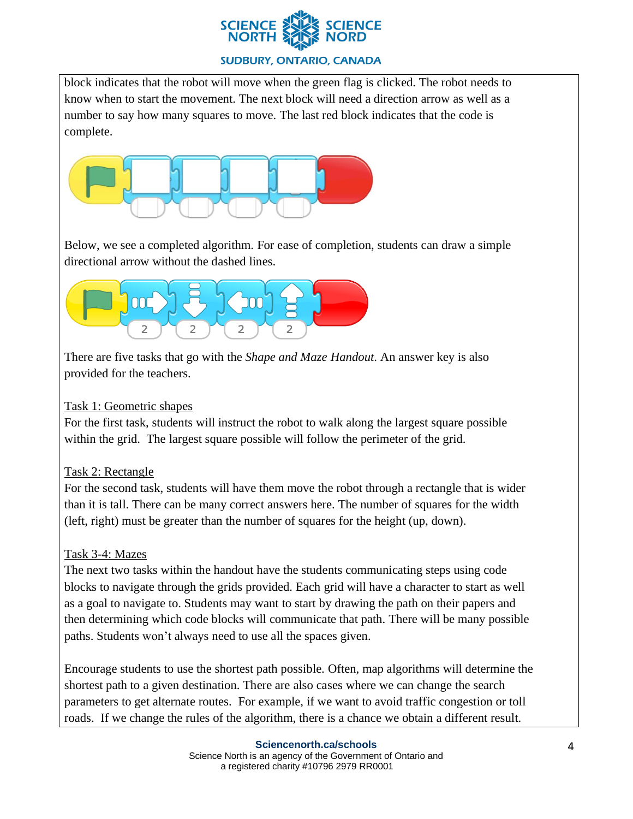

## **SUDBURY, ONTARIO, CANADA**

block indicates that the robot will move when the green flag is clicked. The robot needs to know when to start the movement. The next block will need a direction arrow as well as a number to say how many squares to move. The last red block indicates that the code is complete.



Below, we see a completed algorithm. For ease of completion, students can draw a simple directional arrow without the dashed lines.



There are five tasks that go with the *Shape and Maze Handout*. An answer key is also provided for the teachers.

## Task 1: Geometric shapes

For the first task, students will instruct the robot to walk along the largest square possible within the grid. The largest square possible will follow the perimeter of the grid.

## Task 2: Rectangle

For the second task, students will have them move the robot through a rectangle that is wider than it is tall. There can be many correct answers here. The number of squares for the width (left, right) must be greater than the number of squares for the height (up, down).

## Task 3-4: Mazes

The next two tasks within the handout have the students communicating steps using code blocks to navigate through the grids provided. Each grid will have a character to start as well as a goal to navigate to. Students may want to start by drawing the path on their papers and then determining which code blocks will communicate that path. There will be many possible paths. Students won't always need to use all the spaces given.

Encourage students to use the shortest path possible. Often, map algorithms will determine the shortest path to a given destination. There are also cases where we can change the search parameters to get alternate routes. For example, if we want to avoid traffic congestion or toll roads. If we change the rules of the algorithm, there is a chance we obtain a different result.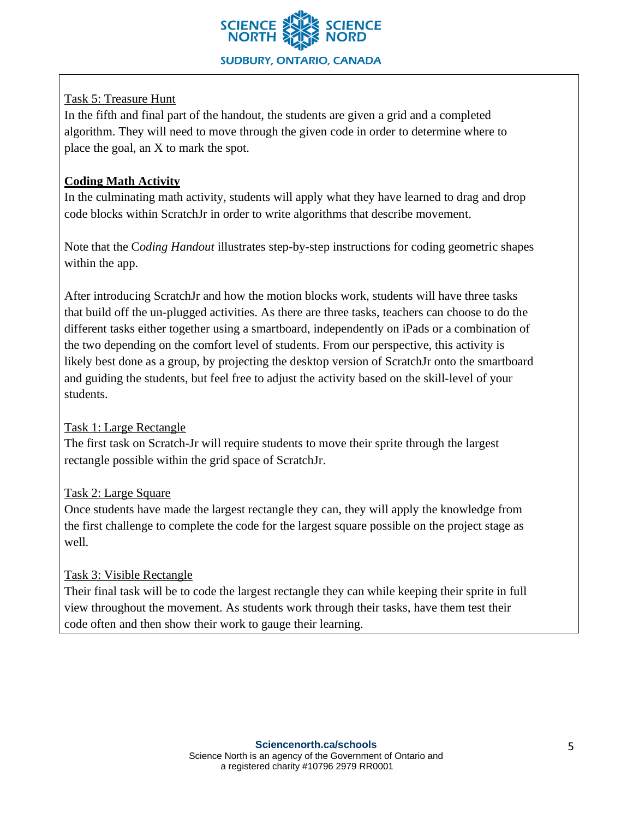

## Task 5: Treasure Hunt

In the fifth and final part of the handout, the students are given a grid and a completed algorithm. They will need to move through the given code in order to determine where to place the goal, an X to mark the spot.

## **Coding Math Activity**

In the culminating math activity, students will apply what they have learned to drag and drop code blocks within ScratchJr in order to write algorithms that describe movement.

Note that the C*oding Handout* illustrates step-by-step instructions for coding geometric shapes within the app.

After introducing ScratchJr and how the motion blocks work, students will have three tasks that build off the un-plugged activities. As there are three tasks, teachers can choose to do the different tasks either together using a smartboard, independently on iPads or a combination of the two depending on the comfort level of students. From our perspective, this activity is likely best done as a group, by projecting the desktop version of ScratchJr onto the smartboard and guiding the students, but feel free to adjust the activity based on the skill-level of your students.

## Task 1: Large Rectangle

The first task on Scratch-Jr will require students to move their sprite through the largest rectangle possible within the grid space of ScratchJr.

# Task 2: Large Square

Once students have made the largest rectangle they can, they will apply the knowledge from the first challenge to complete the code for the largest square possible on the project stage as well.

# Task 3: Visible Rectangle

Their final task will be to code the largest rectangle they can while keeping their sprite in full view throughout the movement. As students work through their tasks, have them test their code often and then show their work to gauge their learning.